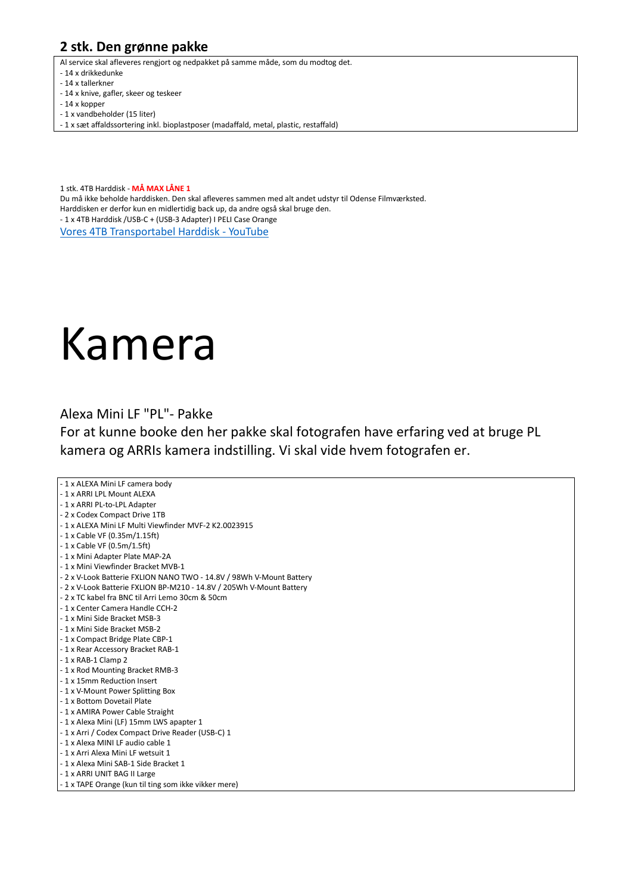#### **2 stk. Den grønne pakke**

Al service skal afleveres rengjort og nedpakket på samme måde, som du modtog det.

- 14 x drikkedunke
- 14 x tallerkner
- 14 x knive, gafler, skeer og teskeer
- 14 x kopper
- 1 x vandbeholder (15 liter)
- 1 x sæt affaldssortering inkl. bioplastposer (madaffald, metal, plastic, restaffald)

1 stk. 4TB Harddisk - **MÅ MAX LÅNE 1** Du må ikke beholde harddisken. Den skal afleveres sammen med alt andet udstyr til Odense Filmværksted. Harddisken er derfor kun en midlertidig back up, da andre også skal bruge den. - 1 x 4TB Harddisk /USB-C + (USB-3 Adapter) I PELI Case Orange [Vores 4TB Transportabel Harddisk - YouTube](https://www.youtube.com/watch?v=FNcwFE2Qe3Y)

# Kamera

#### Alexa Mini LF "PL"- Pakke

For at kunne booke den her pakke skal fotografen have erfaring ved at bruge PL kamera og ARRIs kamera indstilling. Vi skal vide hvem fotografen er.

| -1 x ALEXA Mini LF camera body                                       |  |
|----------------------------------------------------------------------|--|
| - 1 x ARRI LPL Mount ALEXA                                           |  |
| - 1 x ARRI PL-to-LPL Adapter                                         |  |
| - 2 x Codex Compact Drive 1TB                                        |  |
| - 1 x ALEXA Mini LF Multi Viewfinder MVF-2 K2.0023915                |  |
| - 1 x Cable VF (0.35m/1.15ft)                                        |  |
| $-1$ x Cable VF (0.5m/1.5ft)                                         |  |
| -1 x Mini Adapter Plate MAP-2A                                       |  |
| -1 x Mini Viewfinder Bracket MVB-1                                   |  |
| - 2 x V-Look Batterie FXLION NANO TWO - 14.8V / 98Wh V-Mount Battery |  |
| - 2 x V-Look Batterie FXLION BP-M210 - 14.8V / 205Wh V-Mount Battery |  |
| - 2 x TC kabel fra BNC til Arri Lemo 30cm & 50cm                     |  |
| - 1 x Center Camera Handle CCH-2                                     |  |
| - 1 x Mini Side Bracket MSB-3                                        |  |
| - 1 x Mini Side Bracket MSB-2                                        |  |
| -1 x Compact Bridge Plate CBP-1                                      |  |
| -1 x Rear Accessory Bracket RAB-1                                    |  |
| $-1$ x RAB-1 Clamp 2                                                 |  |
| -1 x Rod Mounting Bracket RMB-3                                      |  |
| - 1 x 15mm Reduction Insert                                          |  |
| - 1 x V-Mount Power Splitting Box                                    |  |
| - 1 x Bottom Dovetail Plate                                          |  |
| - 1 x AMIRA Power Cable Straight                                     |  |
| -1 x Alexa Mini (LF) 15mm LWS apapter 1                              |  |
| - 1 x Arri / Codex Compact Drive Reader (USB-C) 1                    |  |
| - 1 x Alexa MINI LF audio cable 1                                    |  |
| - 1 x Arri Alexa Mini LF wetsuit 1                                   |  |
| - 1 x Alexa Mini SAB-1 Side Bracket 1                                |  |
| - 1 x ARRI UNIT BAG II Large                                         |  |
| - 1 x TAPE Orange (kun til ting som ikke vikker mere)                |  |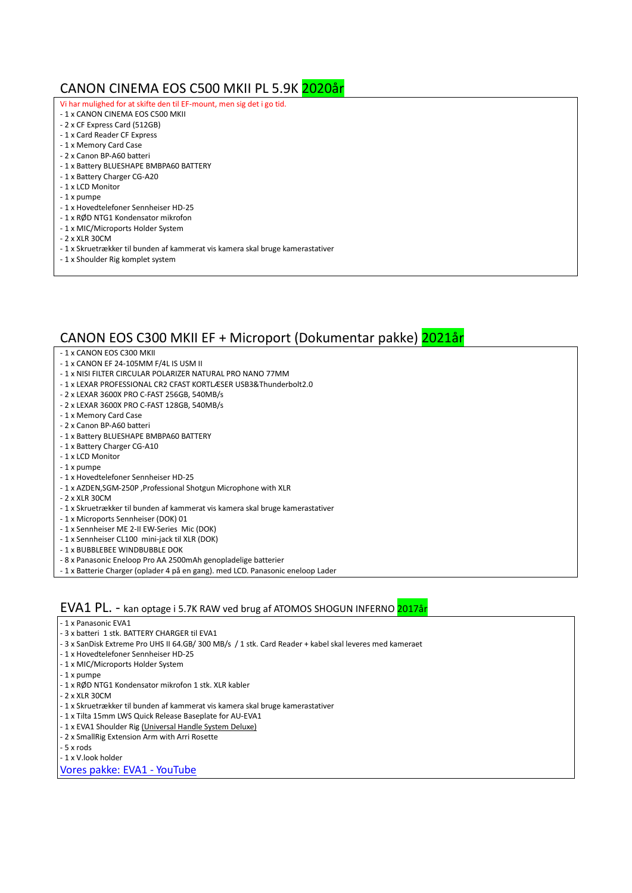#### CANON CINEMA EOS C500 MKII PL 5.9K 2020år

Vi har mulighed for at skifte den til EF-mount, men sig det i go tid.

- 1 x CANON CINEMA EOS C500 MKII
- 2 x CF Express Card (512GB)
- 1 x Card Reader CF Express
- 1 x Memory Card Case
- 2 x Canon BP-A60 batteri - 1 x Battery BLUESHAPE BMBPA60 BATTERY
- 1 x Battery Charger CG-A20
- 1 x LCD Monitor
- 1 x pumpe
- 1 x Hovedtelefoner Sennheiser HD-25
- 1 x RØD NTG1 Kondensator mikrofon
- 1 x MIC/Microports Holder System
- 2 x XLR 30CM
- 1 x Skruetrækker til bunden af kammerat vis kamera skal bruge kamerastativer
- 1 x Shoulder Rig komplet system

### CANON EOS C300 MKII EF + Microport (Dokumentar pakke) 2021år

- 1 x CANON EOS C300 MKII
- 1 x CANON EF 24-105MM F/4L IS USM II
- 1 x NISI FILTER CIRCULAR POLARIZER NATURAL PRO NANO 77MM
- 1 x LEXAR PROFESSIONAL CR2 CFAST KORTLÆSER USB3&Thunderbolt2.0
- 2 x LEXAR 3600X PRO C-FAST 256GB, 540MB/s
- 2 x LEXAR 3600X PRO C-FAST 128GB, 540MB/s
- 1 x Memory Card Case
- 2 x Canon BP-A60 batteri
- 1 x Battery BLUESHAPE BMBPA60 BATTERY
- 1 x Battery Charger CG-A10
- 1 x LCD Monitor - 1 x pumpe
- 1 x Hovedtelefoner Sennheiser HD-25
- 1 x AZDEN,SGM-250P ,Professional Shotgun Microphone with XLR
- $-2$  x XLR 30CM
- 1 x Skruetrækker til bunden af kammerat vis kamera skal bruge kamerastativer
- 1 x Microports Sennheiser (DOK) 01
- 1 x Sennheiser ME 2-II EW-Series Mic (DOK)
- 1 x Sennheiser CL100 mini-jack til XLR (DOK)
- 1 x BUBBLEBEE WINDBUBBLE DOK
- 8 x Panasonic Eneloop Pro AA 2500mAh genopladelige batterier
- 1 x Batterie Charger (oplader 4 på en gang). med LCD. Panasonic eneloop Lader

#### EVA1 PL. - kan optage i 5.7K RAW ved brug af ATOMOS SHOGUN INFERNO 2017år

#### - 1 x Panasonic EVA1

- 3 x batteri 1 stk. BATTERY CHARGER til EVA1
- 3 x SanDisk Extreme Pro UHS II 64.GB/ 300 MB/s / 1 stk. Card Reader + kabel skal leveres med kameraet
- 1 x Hovedtelefoner Sennheiser HD-25
- 1 x MIC/Microports Holder System
- 1 x pumpe
- 1 x RØD NTG1 Kondensator mikrofon 1 stk. XLR kabler
- $-2$  x XLR 30CM
- 1 x Skruetrækker til bunden af kammerat vis kamera skal bruge kamerastativer
- 1 x Tilta 15mm LWS Quick Release Baseplate for AU-EVA1
- 1 x EVA1 Shoulder Ri[g \(Universal Handle System Deluxe\)](http://www.denz-deniz.com/premium-products/universal-handle-system-deluxe/)
- 2 x SmallRig Extension Arm with Arri Rosette
- 5 x rods - 1 x V.look holder

[Vores pakke: EVA1 - YouTube](https://www.youtube.com/watch?v=Qwo_1Yl5sMo)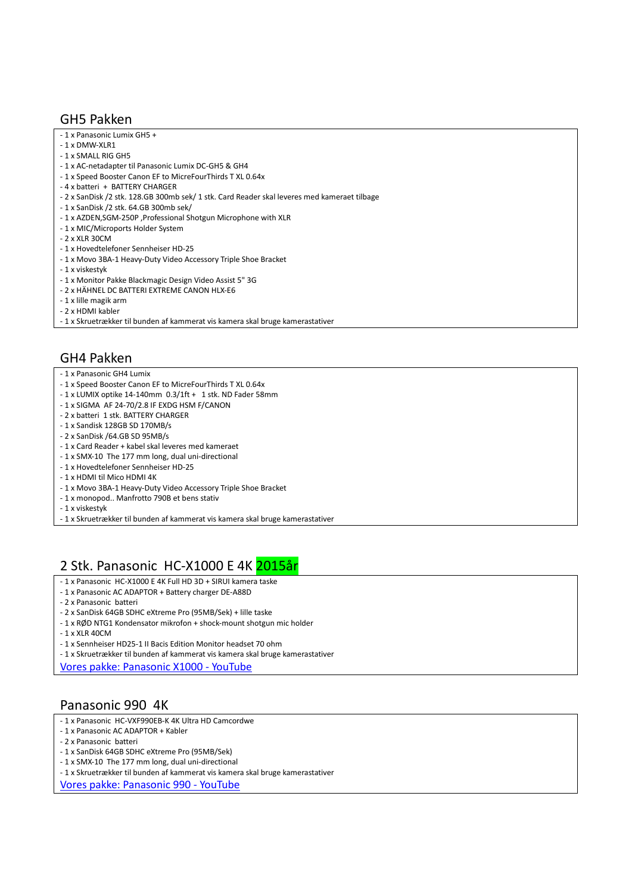## GH5 Pakken<br>- 1 x Panasonic Lumix GH5 +

- 
- 1 x DMW-XLR1
- 1 x SMALL RIG GH5
- 1 x AC-netadapter til Panasonic Lumix DC-GH5 & GH4
- 1 x Speed Booster Canon EF to MicreFourThirds T XL 0.64x - 4 x batteri + BATTERY CHARGER
- 2 x SanDisk /2 stk. 128.GB 300mb sek/ 1 stk. Card Reader skal leveres med kameraet tilbage
- 1 x SanDisk /2 stk. 64.GB 300mb sek/
- 1 x AZDEN,SGM-250P ,Professional Shotgun Microphone with XLR
- 1 x MIC/Microports Holder System
- 2 x XLR 30CM
- 1 x Hovedtelefoner Sennheiser HD-25
- 1 x Movo 3BA-1 Heavy-Duty Video Accessory Triple Shoe Bracket
- 1 x viskestyk
- 1 x Monitor Pakke Blackmagic Design Video Assist 5" 3G
- 2 x HÄHNEL DC BATTERI EXTREME CANON HLX-E6
- 1 x lille magik arm
- 2 x HDMI kabler

- 1 x Skruetrækker til bunden af kammerat vis kamera skal bruge kamerastativer

#### GH4 Pakken

- 1 x Panasonic GH4 Lumix
- 1 x Speed Booster Canon EF to MicreFourThirds T XL 0.64x
- 1 x LUMIX optike 14-140mm 0.3/1ft + 1 stk. ND Fader 58mm
- 1 x SIGMA AF 24-70/2.8 IF EXDG HSM F/CANON
- 2 x batteri 1 stk. BATTERY CHARGER
- 1 x Sandisk 128GB SD 170MB/s
- 2 x SanDisk /64.GB SD 95MB/s
- 1 x Card Reader + kabel skal leveres med kameraet
- 1 x SMX-10 The 177 mm long, dual uni-directional
- 1 x Hovedtelefoner Sennheiser HD-25
- 1 x HDMI til Mico HDMI 4K
- 1 x Movo 3BA-1 Heavy-Duty Video Accessory Triple Shoe Bracket
- 1 x monopod.. Manfrotto 790B et bens stativ
- 1 x viskestyk
- 1 x Skruetrækker til bunden af kammerat vis kamera skal bruge kamerastativer

#### 2 Stk. Panasonic HC-X1000 E 4K 2015år

- 1 x Panasonic HC-X1000 E 4K Full HD 3D + SIRUI kamera taske
- 1 x Panasonic AC ADAPTOR + Battery charger DE-A88D
- 2 x Panasonic batteri
- 2 x SanDisk 64GB SDHC eXtreme Pro (95MB/Sek) + lille taske
- 1 x RØD NTG1 Kondensator mikrofon + shock-mount shotgun mic holder
- 1 x XLR 40CM
- 1 x Sennheiser HD25-1 II Bacis Edition Monitor headset 70 ohm
- 1 x Skruetrækker til bunden af kammerat vis kamera skal bruge kamerastativer

[Vores pakke: Panasonic X1000 - YouTube](https://www.youtube.com/watch?v=v0sVNGNobik)

#### Panasonic 990 4K

- 1 x Panasonic HC-VXF990EB-K 4K Ultra HD Camcordwe
- 1 x Panasonic AC ADAPTOR + Kabler
- 2 x Panasonic batteri
- 1 x SanDisk 64GB SDHC eXtreme Pro (95MB/Sek)
- 1 x SMX-10 The 177 mm long, dual uni-directional
- 1 x Skruetrækker til bunden af kammerat vis kamera skal bruge kamerastativer

Vores [pakke: Panasonic 990 - YouTube](https://www.youtube.com/watch?v=Bh-YrZrvCLw)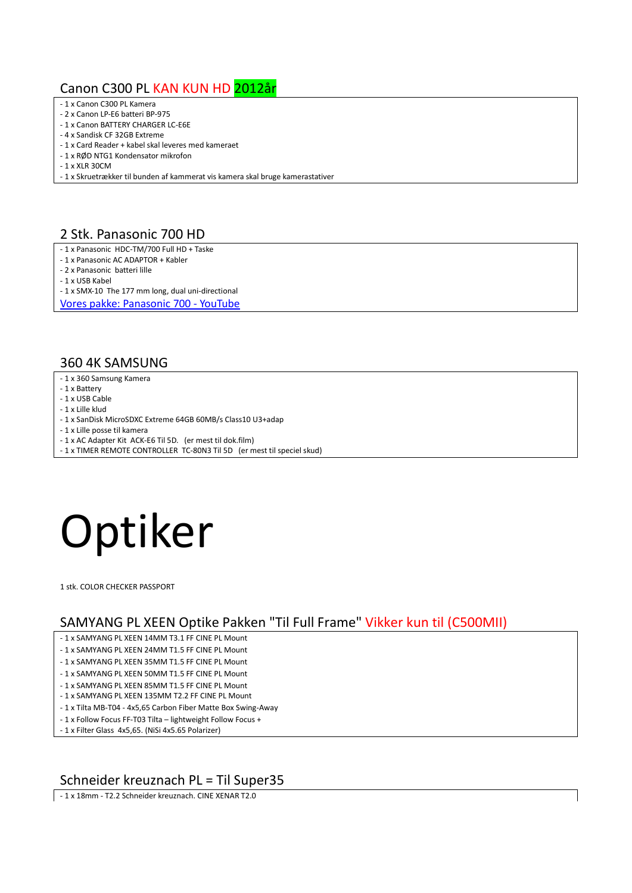### Canon C300 PL KAN KUN HD 2012år

- 1 x Canon C300 PL Kamera
- 2 x Canon LP-E6 batteri BP-975
- 1 x Canon BATTERY CHARGER LC-E6E
- 4 x Sandisk CF 32GB Extreme
- 1 x Card Reader + kabel skal leveres med kameraet - 1 x RØD NTG1 Kondensator mikrofon
- 1 x XLR 30CM
- 1 x Skruetrækker til bunden af kammerat vis kamera skal bruge kamerastativer

## 2 Stk. Panasonic 700 HD<br>- 1 x Panasonic HDC-TM/700 Full HD + Taske

- 
- 1 x Panasonic AC ADAPTOR + Kabler
- 2 x Panasonic batteri lille
- 1 x USB Kabel
- 1 x SMX-10 The 177 mm long, dual uni-directional

[Vores pakke: Panasonic 700 - YouTube](https://www.youtube.com/watch?v=l6LJJHMw6hM)

#### 360 4K SAMSUNG

- 1 x 360 Samsung Kamera
- 1 x Battery
- 1 x USB Cable
- 1 x Lille klud
- 1 x SanDisk MicroSDXC Extreme 64GB 60MB/s Class10 U3+adap
- 1 x Lille posse til kamera
- 1 x AC Adapter Kit ACK-E6 Til 5D. (er mest til dok.film)
- 1 x TIMER REMOTE CONTROLLER TC-80N3 Til 5D (er mest til speciel skud)

# Optiker

1 stk. COLOR CHECKER PASSPORT

#### SAMYANG PL XEEN Optike Pakken "Til Full Frame" Vikker kun til (C500MII)

- 1 x SAMYANG PL XEEN 14MM T3.1 FF CINE PL Mount

- 1 x SAMYANG PL XEEN 24MM T1.5 FF CINE PL Mount
- 1 x SAMYANG PL XEEN 35MM T1.5 FF CINE PL Mount
- 1 x SAMYANG PL XEEN 50MM T1.5 FF CINE PL Mount
- 1 x SAMYANG PL XEEN 85MM T1.5 FF CINE PL Mount
- 1 x SAMYANG PL XEEN 135MM T2.2 FF CINE PL Mount
- 1 x Tilta MB-T04 4x5,65 Carbon Fiber Matte Box Swing-Away
- 1 x Follow Focus FF-T03 Tilta lightweight Follow Focus +
- 1 x Filter Glass 4x5,65. (NiSi 4x5.65 Polarizer)

#### Schneider kreuznach PL = Til Super35

- 1 x 18mm - T2.2 Schneider kreuznach. CINE XENAR T2.0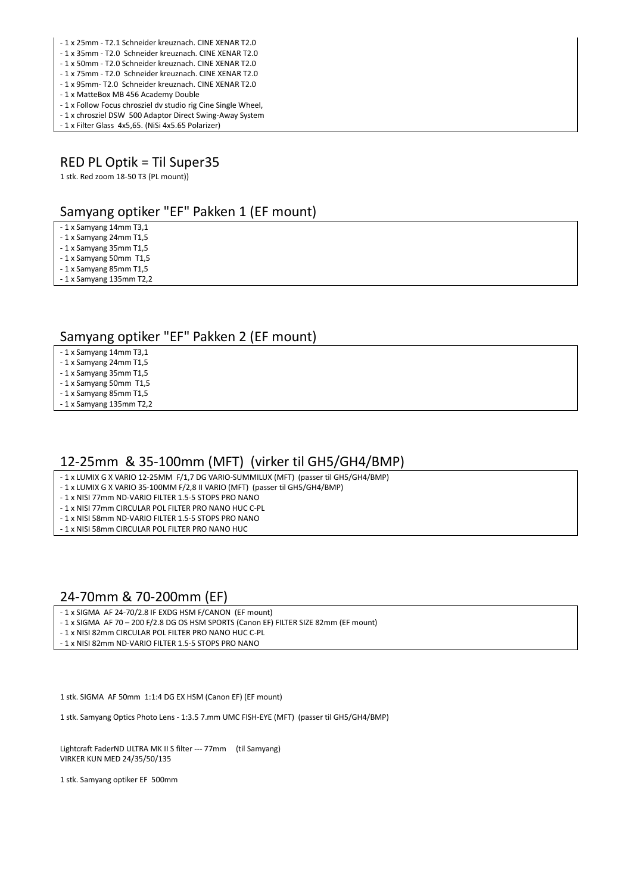- 1 x 25mm T2.1 Schneider kreuznach. CINE XENAR T2.0
- 1 x 35mm T2.0 Schneider kreuznach. CINE XENAR T2.0
- 1 x 50mm T2.0 Schneider kreuznach. CINE XENAR T2.0
- 1 x 75mm T2.0 Schneider kreuznach. CINE XENAR T2.0 - 1 x 95mm- T2.0 Schneider kreuznach. CINE XENAR T2.0
- 1 x MatteBox MB 456 Academy Double
- 1 x Follow Focus chrosziel dv studio rig Cine Single Wheel,
- 1 x chrosziel DSW 500 Adaptor Direct Swing-Away System

- 1 x Filter Glass 4x5,65. (NiSi 4x5.65 Polarizer)

#### RED PL Optik = Til Super35

1 stk. Red zoom 18-50 T3 (PL mount))

#### Samyang optiker "EF" Pakken 1 (EF mount)

- 1 x Samyang 14mm T3,1

- 1 x Samyang 24mm T1,5
- 1 x Samyang 35mm T1,5
- 1 x Samyang 50mm T1,5 - 1 x Samyang 85mm T1,5
- 1 x Samyang 135mm T2,2
- 

#### Samyang optiker "EF" Pakken 2 (EF mount)

- 1 x Samyang 14mm T3,1
- 1 x Samyang 24mm T1,5
- 1 x Samyang 35mm T1,5
- 1 x Samyang 50mm T1,5 - 1 x Samyang 85mm T1,5
- 1 x Samyang 135mm T2,2

12-25mm & 35-100mm (MFT) (virker til GH5/GH4/BMP)

- 1 x LUMIX G X VARIO 12-25MM F/1,7 DG VARIO-SUMMILUX (MFT) (passer til GH5/GH4/BMP) - 1 x LUMIX G X VARIO 35-100MM F/2,8 II VARIO (MFT) (passer til GH5/GH4/BMP)

- 1 x NISI 77mm ND-VARIO FILTER 1.5-5 STOPS PRO NANO

- 1 x NISI 77mm CIRCULAR POL FILTER PRO NANO HUC C-PL

- 1 x NISI 58mm ND-VARIO FILTER 1.5-5 STOPS PRO NANO

- 1 x NISI 58mm CIRCULAR POL FILTER PRO NANO HUC

#### 24-70mm & 70-200mm (EF)

- 1 x SIGMA AF 24-70/2.8 IF EXDG HSM F/CANON (EF mount)

- 1 x SIGMA AF 70 - 200 F/2.8 DG OS HSM SPORTS (Canon EF) FILTER SIZE 82mm (EF mount)

- 1 x NISI 82mm CIRCULAR POL FILTER PRO NANO HUC C-PL

- 1 x NISI 82mm ND-VARIO FILTER 1.5-5 STOPS PRO NANO

1 stk. SIGMA AF 50mm 1:1:4 DG EX HSM (Canon EF) (EF mount)

1 stk. Samyang Optics Photo Lens - 1:3.5 7.mm UMC FISH-EYE (MFT) (passer til GH5/GH4/BMP)

Lightcraft FaderND ULTRA MK II S filter --- 77mm (til Samyang) VIRKER KUN MED 24/35/50/135

1 stk. Samyang optiker EF 500mm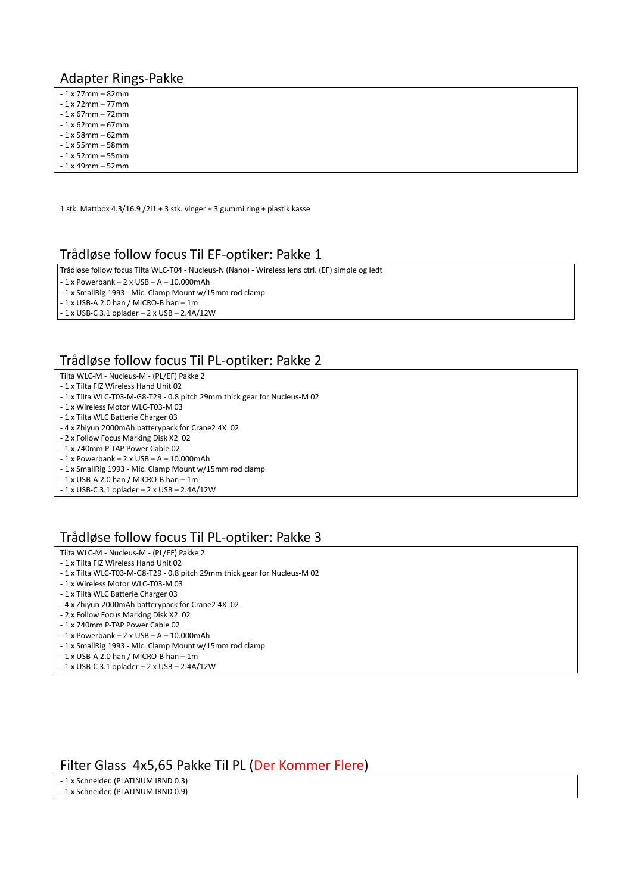#### Adapter Rings-Pakke

- 1 x 77mm 82mm - 1 x 72mm – 77mm
- $-1$  x 67mm 72mm
- $-1 x 62mm 67mm$
- 1 x 58mm 62mm
- 1 x 55mm 58mm - 1 x 52mm – 55mm
- 1 x 49mm 52mm
- 

## 1 stk. Mattbox 4.3/16.9 /2i1 + 3 stk. vinger + 3 gummi ring + plastik kasse

#### Trådløse follow focus Til EF-optiker: Pakke 1

Trådløse follow focus Tilta WLC-T04 - Nucleus-N (Nano) - Wireless lens ctrl. (EF) simple og ledt

 $-1$  x Powerbank – 2 x USB – A – 10.000 mAh

- 1 x SmallRig 1993 - Mic. Clamp Mount w/15mm rod clamp

- 1 x USB-A 2.0 han / MICRO-B han – 1m

- 1 x USB-C 3.1 oplader – 2 x USB – 2.4A/12W

#### Trådløse follow focus Til PL-optiker: Pakke 2

Tilta WLC-M - Nucleus-M - (PL/EF) Pakke 2

- 1 x Tilta FIZ Wireless Hand Unit 02
- 1 x Tilta WLC-T03-M-G8-T29 0.8 pitch 29mm thick gear for Nucleus-M 02
- 1 x Wireless Motor WLC-T03-M 03
- 1 x Tilta WLC Batterie Charger 03
- 4 x Zhiyun 2000mAh batterypack for Crane2 4X 02
- 2 x Follow Focus Marking Disk X2 02
- 1 x 740mm P-TAP Power Cable 02
- 1 x Powerbank 2 x USB A 10.000mAh
- 1 x SmallRig 1993 Mic. Clamp Mount w/15mm rod clamp - 1 x USB-A 2.0 han / MICRO-B han – 1m
- 1 x USB-C 3.1 oplader 2 x USB 2.4A/12W

#### Trådløse follow focus Til PL-optiker: Pakke 3

- Tilta WLC-M Nucleus-M (PL/EF) Pakke 2
- 1 x Tilta FIZ Wireless Hand Unit 02
- 1 x Tilta WLC-T03-M-G8-T29 0.8 pitch 29mm thick gear for Nucleus-M 02
- 1 x Wireless Motor WLC-T03-M 03
- 1 x Tilta WLC Batterie Charger 03
- 4 x Zhiyun 2000mAh batterypack for Crane2 4X 02
- 2 x Follow Focus Marking Disk X2 02
- 1 x 740mm P-TAP Power Cable 02
- 1 x Powerbank 2 x USB A 10.000mAh
- 1 x SmallRig 1993 Mic. Clamp Mount w/15mm rod clamp
- 1 x USB-A 2.0 han / MICRO-B han 1m
- 1 x USB-C 3.1 oplader 2 x USB 2.4A/12W

#### Filter Glass 4x5,65 Pakke Til PL (Der Kommer Flere)

| - 1 x Schneider. (PLATINUM IRND 0.3) |  |
|--------------------------------------|--|
| - 1 x Schneider. (PLATINUM IRND 0.9) |  |
|                                      |  |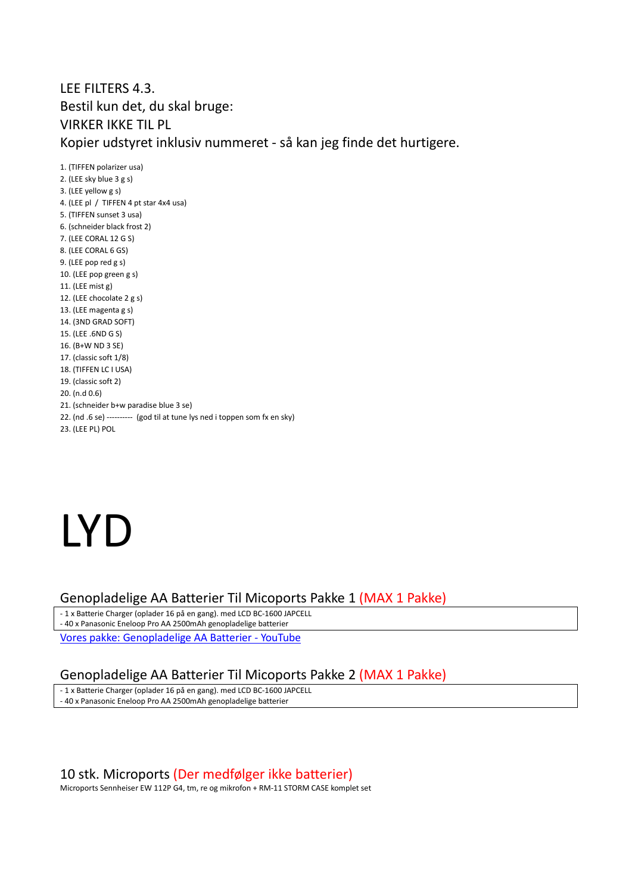### LEE FILTERS 4.3. Bestil kun det, du skal bruge: VIRKER IKKE TIL PL Kopier udstyret inklusiv nummeret - så kan jeg finde det hurtigere.

1. (TIFFEN polarizer usa) 2. (LEE sky blue 3 g s) 3. (LEE yellow g s) 4. (LEE pl / TIFFEN 4 pt star 4x4 usa) 5. (TIFFEN sunset 3 usa) 6. (schneider black frost 2) 7. (LEE CORAL 12 G S) 8. (LEE CORAL 6 GS) 9. (LEE pop red g s) 10. (LEE pop green g s) 11. (LEE mist g) 12. (LEE chocolate 2 g s) 13. (LEE magenta g s) 14. (3ND GRAD SOFT) 15. (LEE .6ND G S) 16. (B+W ND 3 SE) 17. (classic soft 1/8) 18. (TIFFEN LC I USA) 19. (classic soft 2) 20. (n.d 0.6) 21. (schneider b+w paradise blue 3 se) 22. (nd .6 se) ---------- (god til at tune lys ned i toppen som fx en sky) 23. (LEE PL) POL

# LYD

#### Genopladelige AA Batterier Til Micoports Pakke 1 (MAX 1 Pakke)

- 1 x Batterie Charger (oplader 16 på en gang). med LCD BC-1600 JAPCELL - 40 x Panasonic Eneloop Pro AA 2500mAh genopladelige batterier [Vores pakke: Genopladelige AA Batterier - YouTube](https://www.youtube.com/watch?v=U18tYreXnjs)

#### Genopladelige AA Batterier Til Micoports Pakke 2 (MAX 1 Pakke)

- 1 x Batterie Charger (oplader 16 på en gang). med LCD BC-1600 JAPCELL - 40 x Panasonic Eneloop Pro AA 2500mAh genopladelige batterier

#### 10 stk. Microports (Der medfølger ikke batterier)

Microports Sennheiser EW 112P G4, tm, re og mikrofon + RM-11 STORM CASE komplet set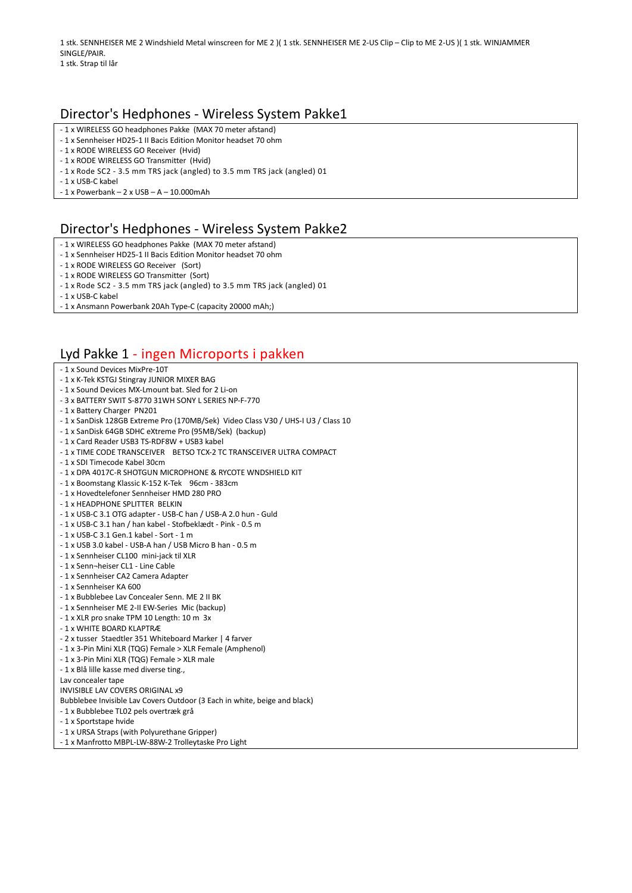#### Director's Hedphones - Wireless System Pakke1

- 1 x WIRELESS GO headphones Pakke (MAX 70 meter afstand)

- 1 x Sennheiser HD25-1 II Bacis Edition Monitor headset 70 ohm

- 1 x RODE WIRELESS GO Receiver (Hvid)

- 1 x RODE WIRELESS GO Transmitter (Hvid)

- 1 x Rode SC2 - 3.5 mm TRS jack (angled) to 3.5 mm TRS jack (angled) 01

- 1 x USB-C kabel

- 1 x Powerbank – 2 x USB – A – 10.000mAh

#### Director's Hedphones - Wireless System Pakke2

- 1 x WIRELESS GO headphones Pakke (MAX 70 meter afstand)

- 1 x Sennheiser HD25-1 II Bacis Edition Monitor headset 70 ohm

- 1 x RODE WIRELESS GO Receiver (Sort)

- 1 x RODE WIRELESS GO Transmitter (Sort)

- 1 x Rode SC2 - 3.5 mm TRS jack (angled) to 3.5 mm TRS jack (angled) 01

- 1 x USB-C kabel

- 1 x Ansmann Powerbank 20Ah Type-C (capacity 20000 mAh;)

#### Lyd Pakke 1 - ingen Microports i pakken

- 1 x Sound Devices MixPre-10T - 1 x K-Tek KSTGJ Stingray JUNIOR MIXER BAG - 1 x Sound Devices MX-Lmount bat. Sled for 2 Li-on - 3 x BATTERY SWIT S-8770 31WH SONY L SERIES NP-F-770 - 1 x Battery Charger PN201 - 1 x SanDisk 128GB Extreme Pro (170MB/Sek) Video Class V30 / UHS-I U3 / Class 10 - 1 x SanDisk 64GB SDHC eXtreme Pro (95MB/Sek) (backup) - 1 x Card Reader USB3 TS-RDF8W + USB3 kabel - 1 x TIME CODE TRANSCEIVER BETSO TCX-2 TC TRANSCEIVER ULTRA COMPACT - 1 x SDI Timecode Kabel 30cm - 1 x DPA 4017C-R SHOTGUN MICROPHONE & RYCOTE WNDSHIELD KIT - 1 x Boomstang Klassic K-152 K-Tek 96cm - 383cm - 1 x Hovedtelefoner Sennheiser HMD 280 PRO - 1 x HEADPHONE SPLITTER BELKIN - 1 x USB-C 3.1 OTG adapter - USB-C han / USB-A 2.0 hun - Guld - 1 x USB-C 3.1 han / han kabel - Stofbeklædt - Pink - 0.5 m - 1 x USB-C 3.1 Gen.1 kabel - Sort - 1 m - 1 x USB 3.0 kabel - USB-A han / USB Micro B han - 0.5 m - 1 x Sennheiser CL100 mini-jack til XLR - 1 x Senn¬heiser CL1 - Line Cable - 1 x Sennheiser CA2 Camera Adapter - 1 x Sennheiser KA 600 - 1 x Bubblebee Lav Concealer Senn. ME 2 II BK - 1 x Sennheiser ME 2-II EW-Series Mic (backup) - 1 x XLR pro snake TPM 10 Length: 10 m 3x - 1 x WHITE BOARD KLAPTRÆ - 2 x tusser Staedtler 351 Whiteboard Marker | 4 farver - 1 x 3-Pin Mini XLR (TQG) Female > XLR Female (Amphenol) - 1 x 3-Pin Mini XLR (TQG) Female > XLR male - 1 x Blå lille kasse med diverse ting., Lav concealer tape INVISIBLE LAV COVERS ORIGINAL x9 Bubblebee Invisible Lav Covers Outdoor (3 Each in white, beige and black) - 1 x Bubblebee TL02 pels overtræk grå - 1 x Sportstape hvide - 1 x URSA Straps (with Polyurethane Gripper) - 1 x Manfrotto MBPL-LW-88W-2 Trolleytaske Pro Light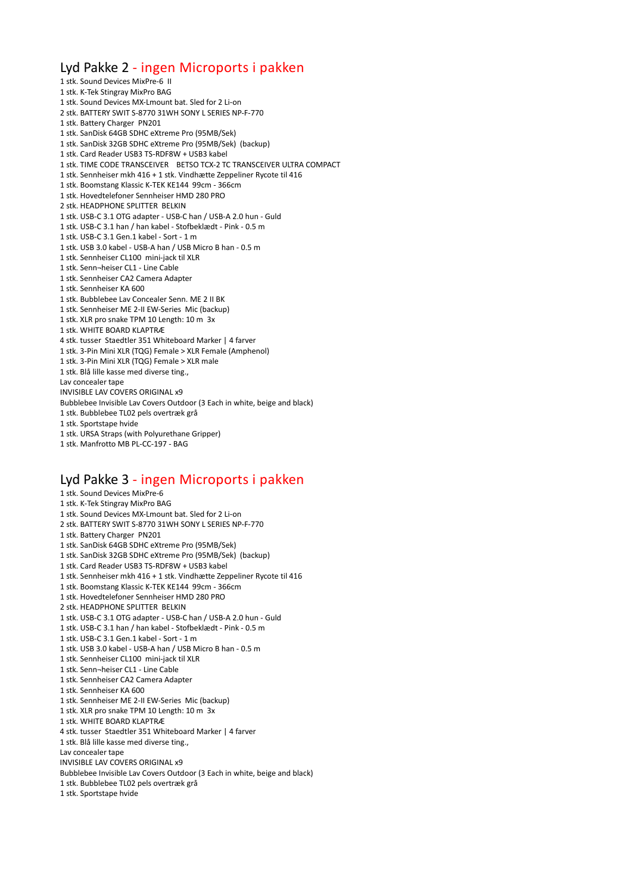#### Lyd Pakke 2 - ingen Microports i pakken

- 1 stk. Sound Devices MixPre-6 II
- 1 stk. K-Tek Stingray MixPro BAG
- 1 stk. Sound Devices MX-Lmount bat. Sled for 2 Li-on 2 stk. BATTERY SWIT S-8770 31WH SONY L SERIES NP-F-770
- 1 stk. Battery Charger PN201
- 1 stk. SanDisk 64GB SDHC eXtreme Pro (95MB/Sek)
- 1 stk. SanDisk 32GB SDHC eXtreme Pro (95MB/Sek) (backup)
- 1 stk. Card Reader USB3 TS-RDF8W + USB3 kabel
- 1 stk. TIME CODE TRANSCEIVER BETSO TCX-2 TC TRANSCEIVER ULTRA COMPACT
- 1 stk. Sennheiser mkh 416 + 1 stk. Vindhætte Zeppeliner Rycote til 416
- 1 stk. Boomstang Klassic K-TEK KE144 99cm 366cm
- 1 stk. Hovedtelefoner Sennheiser HMD 280 PRO
- 2 stk. HEADPHONE SPLITTER BELKIN
- 1 stk. USB-C 3.1 OTG adapter USB-C han / USB-A 2.0 hun Guld
- 1 stk. USB-C 3.1 han / han kabel Stofbeklædt Pink 0.5 m
- 1 stk. USB-C 3.1 Gen.1 kabel Sort 1 m
- 1 stk. USB 3.0 kabel USB-A han / USB Micro B han 0.5 m
- 1 stk. Sennheiser CL100 mini-jack til XLR
- 1 stk. Senn¬heiser CL1 Line Cable
- 1 stk. Sennheiser CA2 Camera Adapter
- 1 stk. Sennheiser KA 600
- 1 stk. Bubblebee Lav Concealer Senn. ME 2 II BK
- 1 stk. Sennheiser ME 2-II EW-Series Mic (backup)
- 1 stk. XLR pro snake TPM 10 Length: 10 m 3x
- 1 stk. WHITE BOARD KLAPTRÆ
- 4 stk. tusser Staedtler 351 Whiteboard Marker | 4 farver
- 1 stk. 3-Pin Mini XLR (TQG) Female > XLR Female (Amphenol)
- 1 stk. 3-Pin Mini XLR (TQG) Female > XLR male
- 1 stk. Blå lille kasse med diverse ting.,
- Lav concealer tape
- INVISIBLE LAV COVERS ORIGINAL x9
- Bubblebee Invisible Lav Covers Outdoor (3 Each in white, beige and black)
- 1 stk. Bubblebee TL02 pels overtræk grå
- 1 stk. Sportstape hvide
- 1 stk. URSA Straps (with Polyurethane Gripper)
- 1 stk. Manfrotto MB PL-CC-197 BAG

#### Lyd Pakke 3 - ingen Microports i pakken

- 1 stk. Sound Devices MixPre-6
- 1 stk. K-Tek Stingray MixPro BAG
- 1 stk. Sound Devices MX-Lmount bat. Sled for 2 Li-on
- 2 stk. BATTERY SWIT S-8770 31WH SONY L SERIES NP-F-770
- 1 stk. Battery Charger PN201
- 1 stk. SanDisk 64GB SDHC eXtreme Pro (95MB/Sek)
- 1 stk. SanDisk 32GB SDHC eXtreme Pro (95MB/Sek) (backup)
- 1 stk. Card Reader USB3 TS-RDF8W + USB3 kabel
- 1 stk. Sennheiser mkh 416 + 1 stk. Vindhætte Zeppeliner Rycote til 416
- 1 stk. Boomstang Klassic K-TEK KE144 99cm 366cm
- 1 stk. Hovedtelefoner Sennheiser HMD 280 PRO
- 2 stk. HEADPHONE SPLITTER BELKIN
- 1 stk. USB-C 3.1 OTG adapter USB-C han / USB-A 2.0 hun Guld
- 1 stk. USB-C 3.1 han / han kabel Stofbeklædt Pink 0.5 m
- 1 stk. USB-C 3.1 Gen.1 kabel Sort 1 m
- 1 stk. USB 3.0 kabel USB-A han / USB Micro B han 0.5 m
- 1 stk. Sennheiser CL100 mini-jack til XLR
- 1 stk. Senn¬heiser CL1 Line Cable
- 1 stk. Sennheiser CA2 Camera Adapter
- 1 stk. Sennheiser KA 600
- 1 stk. Sennheiser ME 2-II EW-Series Mic (backup)
- 1 stk. XLR pro snake TPM 10 Length: 10 m 3x
- 1 stk. WHITE BOARD KLAPTRÆ
- 4 stk. tusser Staedtler 351 Whiteboard Marker | 4 farver
- 1 stk. Blå lille kasse med diverse ting.,
- Lav concealer tape
- INVISIBLE LAV COVERS ORIGINAL x9
- Bubblebee Invisible Lav Covers Outdoor (3 Each in white, beige and black)
- 1 stk. Bubblebee TL02 pels overtræk grå
- 1 stk. Sportstape hvide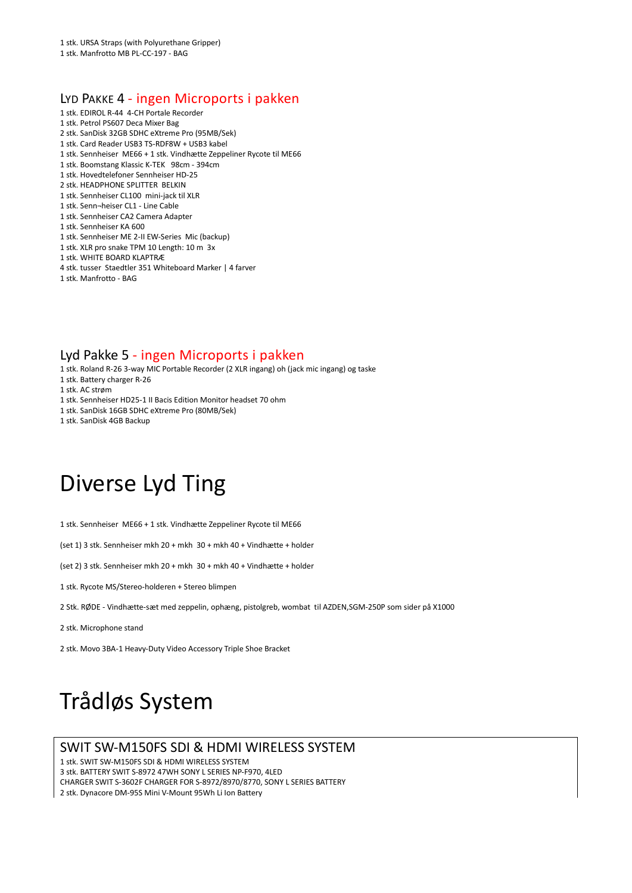#### LYD PAKKE 4 - ingen Microports i pakken

- 1 stk. EDIROL R-44 4-CH Portale Recorder
- 1 stk. Petrol PS607 Deca Mixer Bag
- 2 stk. SanDisk 32GB SDHC eXtreme Pro (95MB/Sek)
- 1 stk. Card Reader USB3 TS-RDF8W + USB3 kabel
- 1 stk. Sennheiser ME66 + 1 stk. Vindhætte Zeppeliner Rycote til ME66
- 1 stk. Boomstang Klassic K-TEK 98cm 394cm
- 1 stk. Hovedtelefoner Sennheiser HD-25
- 2 stk. HEADPHONE SPLITTER BELKIN
- 1 stk. Sennheiser CL100 mini-jack til XLR
- 1 stk. Senn¬heiser CL1 Line Cable
- 1 stk. Sennheiser CA2 Camera Adapter
- 1 stk. Sennheiser KA 600
- 1 stk. Sennheiser ME 2-II EW-Series Mic (backup)
- 1 stk. XLR pro snake TPM 10 Length: 10 m 3x
- 1 stk. WHITE BOARD KLAPTRÆ
- 4 stk. tusser Staedtler 351 Whiteboard Marker | 4 farver
- 1 stk. Manfrotto BAG

#### Lyd Pakke 5 - ingen Microports i pakken

1 stk. Roland R-26 3-way MIC Portable Recorder (2 XLR ingang) oh (jack mic ingang) og taske

- 1 stk. Battery charger R-26
- 1 stk. AC strøm
- 1 stk. Sennheiser HD25-1 II Bacis Edition Monitor headset 70 ohm
- 1 stk. SanDisk 16GB SDHC eXtreme Pro (80MB/Sek)

1 stk. SanDisk 4GB Backup

## Diverse Lyd Ting

1 stk. Sennheiser ME66 + 1 stk. Vindhætte Zeppeliner Rycote til ME66

(set 1) 3 stk. Sennheiser mkh 20 + mkh 30 + mkh 40 + Vindhætte + holder

(set 2) 3 stk. Sennheiser mkh 20 + mkh 30 + mkh 40 + Vindhætte + holder

1 stk. Rycote MS/Stereo-holderen + Stereo blimpen

2 Stk. RØDE - Vindhætte-sæt med zeppelin, ophæng, pistolgreb, wombat til AZDEN,SGM-250P som sider på X1000

2 stk. Microphone stand

2 stk. Movo 3BA-1 Heavy-Duty Video Accessory Triple Shoe Bracket

# Trådløs System

#### SWIT SW-M150FS SDI & HDMI WIRELESS SYSTEM

1 stk. SWIT SW-M150FS SDI & HDMI WIRELESS SYSTEM 3 stk. BATTERY SWIT S-8972 47WH SONY L SERIES NP-F970, 4LED CHARGER SWIT S-3602F CHARGER FOR S-8972/8970/8770, SONY L SERIES BATTERY 2 stk. Dynacore DM-95S Mini V-Mount 95Wh Li Ion Battery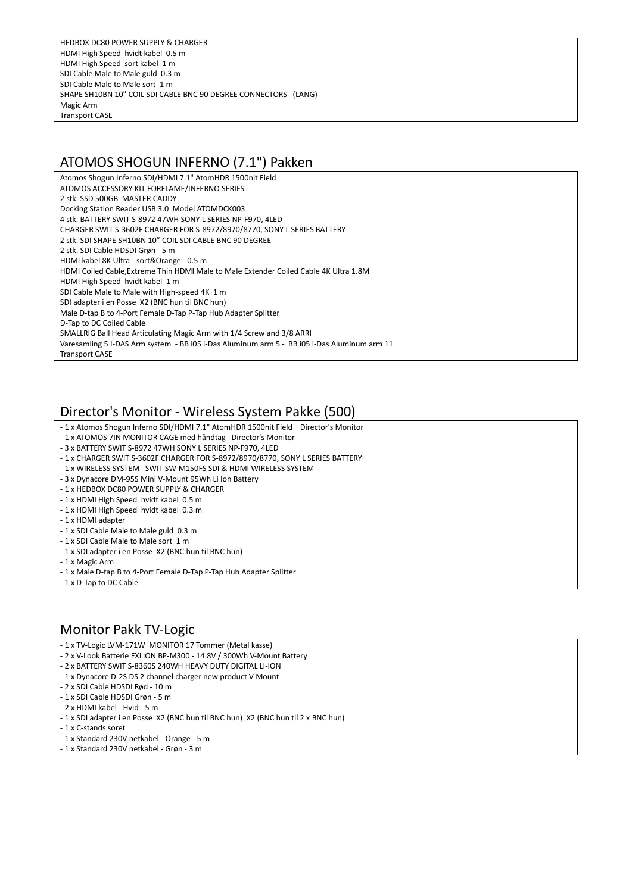HEDBOX DC80 POWER SUPPLY & CHARGER HDMI High Speed hvidt kabel 0.5 m HDMI High Speed sort kabel 1 m SDI Cable Male to Male guld 0.3 m SDI Cable Male to Male sort 1 m SHAPE SH10BN 10" COIL SDI CABLE BNC 90 DEGREE CONNECTORS (LANG) Magic Arm Transport CASE

### ATOMOS SHOGUN INFERNO (7.1") Pakken

Atomos Shogun Inferno SDI/HDMI 7.1" AtomHDR 1500nit Field ATOMOS ACCESSORY KIT FORFLAME/INFERNO SERIES 2 stk. SSD 500GB MASTER CADDY Docking Station Reader USB 3.0 Model ATOMDCK003 4 stk. BATTERY SWIT S-8972 47WH SONY L SERIES NP-F970, 4LED CHARGER SWIT S-3602F CHARGER FOR S-8972/8970/8770, SONY L SERIES BATTERY 2 stk. SDI SHAPE SH10BN 10" COIL SDI CABLE BNC 90 DEGREE 2 stk. SDI Cable HDSDI Grøn - 5 m HDMI kabel 8K Ultra - sort&Orange - 0.5 m HDMI Coiled Cable,Extreme Thin HDMI Male to Male Extender Coiled Cable 4K Ultra 1.8M HDMI High Speed hvidt kabel 1 m SDI Cable Male to Male with High-speed 4K 1 m SDI adapter i en Posse X2 (BNC hun til BNC hun) Male D-tap B to 4-Port Female D-Tap P-Tap Hub Adapter Splitter D-Tap to DC Coiled Cable SMALLRIG Ball Head Articulating Magic Arm with 1/4 Screw and 3/8 ARRI Varesamling 5 I-DAS Arm system - BB i05 i-Das Aluminum arm 5 - BB i05 i-Das Aluminum arm 11 Transport CASE

#### Director's Monitor - Wireless System Pakke (500)

- 1 x Atomos Shogun Inferno SDI/HDMI 7.1" AtomHDR 1500nit Field Director's Monitor
- 1 x ATOMOS 7IN MONITOR CAGE med håndtag Director's Monitor
- 3 x BATTERY SWIT S-8972 47WH SONY L SERIES NP-F970, 4LED
- 1 x CHARGER SWIT S-3602F CHARGER FOR S-8972/8970/8770, SONY L SERIES BATTERY
- 1 x WIRELESS SYSTEM SWIT SW-M150FS SDI & HDMI WIRELESS SYSTEM
- 3 x Dynacore DM-95S Mini V-Mount 95Wh Li Ion Battery
- 1 x HEDBOX DC80 POWER SUPPLY & CHARGER
- 1 x HDMI High Speed hvidt kabel 0.5 m
- 1 x HDMI High Speed hvidt kabel 0.3 m
- 1 x HDMI adapter
- 1 x SDI Cable Male to Male guld 0.3 m
- 1 x SDI Cable Male to Male sort 1 m
- 1 x SDI adapter i en Posse X2 (BNC hun til BNC hun)
- 1 x Magic Arm
- 1 x Male D-tap B to 4-Port Female D-Tap P-Tap Hub Adapter Splitter
- 1 x D-Tap to DC Cable

#### Monitor Pakk TV-Logic

- 1 x TV-Logic LVM-171W MONITOR 17 Tommer (Metal kasse)
- 2 x V-Look Batterie FXLION BP-M300 14.8V / 300Wh V-Mount Battery
- 2 x BATTERY SWIT S-8360S 240WH HEAVY DUTY DIGITAL LI-ION
- 1 x Dynacore D-2S DS 2 channel charger new product V Mount
- 2 x SDI Cable HDSDI Rød 10 m
- 1 x SDI Cable HDSDI Grøn 5 m
- 2 x HDMI kabel Hvid 5 m
- 1 x SDI adapter i en Posse X2 (BNC hun til BNC hun) X2 (BNC hun til 2 x BNC hun)
- 1 x C-stands soret
- 1 x Standard 230V netkabel Orange 5 m
- 1 x Standard 230V netkabel Grøn 3 m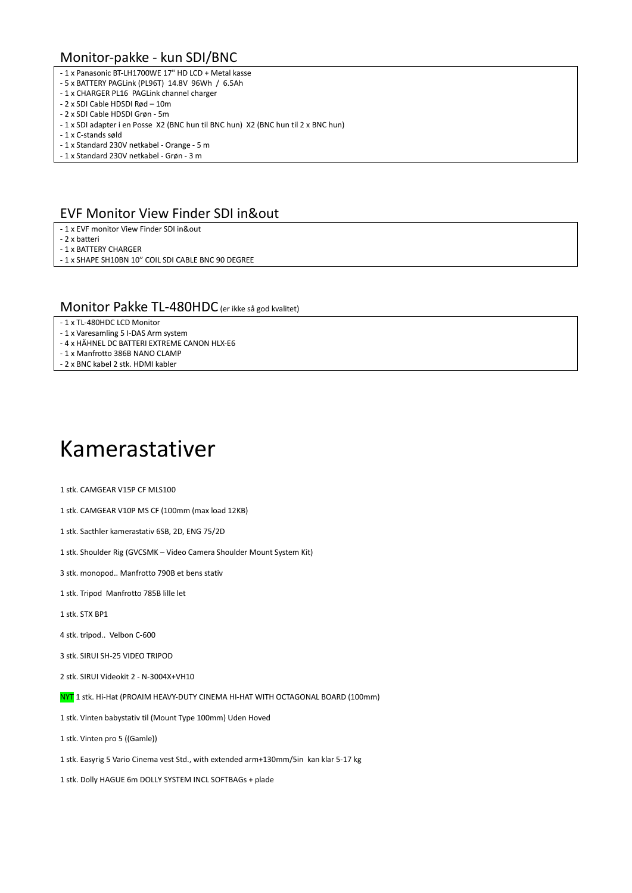#### Monitor-pakke - kun SDI/BNC

- 1 x Panasonic BT-LH1700WE 17" HD LCD + Metal kasse
- 5 x BATTERY PAGLink (PL96T) 14.8V 96Wh / 6.5Ah
- 1 x CHARGER PL16 PAGLink channel charger
- 2 x SDI Cable HDSDI Rød 10m
- 2 x SDI Cable HDSDI Grøn 5m - 1 x SDI adapter i en Posse X2 (BNC hun til BNC hun) X2 (BNC hun til 2 x BNC hun)
- 1 x C-stands søld
- 
- 1 x Standard 230V netkabel Orange 5 m - 1 x Standard 230V netkabel - Grøn - 3 m

#### EVF Monitor View Finder SDI in&out

- 1 x EVF monitor View Finder SDI in&out

- 2 x batteri
- 1 x BATTERY CHARGER
- 1 x SHAPE SH10BN 10" COIL SDI CABLE BNC 90 DEGREE

#### Monitor Pakke TL-480HDC (er ikke så god kvalitet)

- 1 x TL-480HDC LCD Monitor
- 1 x Varesamling 5 I-DAS Arm system
- 4 x HÄHNEL DC BATTERI EXTREME CANON HLX-E6
- 1 x Manfrotto 386B NANO CLAMP
- 2 x BNC kabel 2 stk. HDMI kabler

## Kamerastativer

- 1 stk. CAMGEAR V15P CF MLS100
- 1 stk. CAMGEAR V10P MS CF (100mm (max load 12KB)
- 1 stk. Sacthler kamerastativ 6SB, 2D, ENG 75/2D
- 1 stk. Shoulder Rig (GVCSMK Video Camera Shoulder Mount System Kit)
- 3 stk. monopod.. Manfrotto 790B et bens stativ
- 1 stk. Tripod Manfrotto 785B lille let
- 1 stk. STX BP1
- 4 stk. tripod.. Velbon C-600
- 3 stk. SIRUI SH-25 VIDEO TRIPOD
- 2 stk. SIRUI Videokit 2 N-3004X+VH10
- NYT 1 stk. Hi-Hat (PROAIM HEAVY-DUTY CINEMA HI-HAT WITH OCTAGONAL BOARD (100mm)
- 1 stk. Vinten babystativ til (Mount Type 100mm) Uden Hoved
- 1 stk. Vinten pro 5 ((Gamle))
- 1 stk. Easyrig 5 Vario Cinema vest Std., with extended arm+130mm/5in kan klar 5-17 kg
- 1 stk. Dolly HAGUE 6m DOLLY SYSTEM INCL SOFTBAGs + plade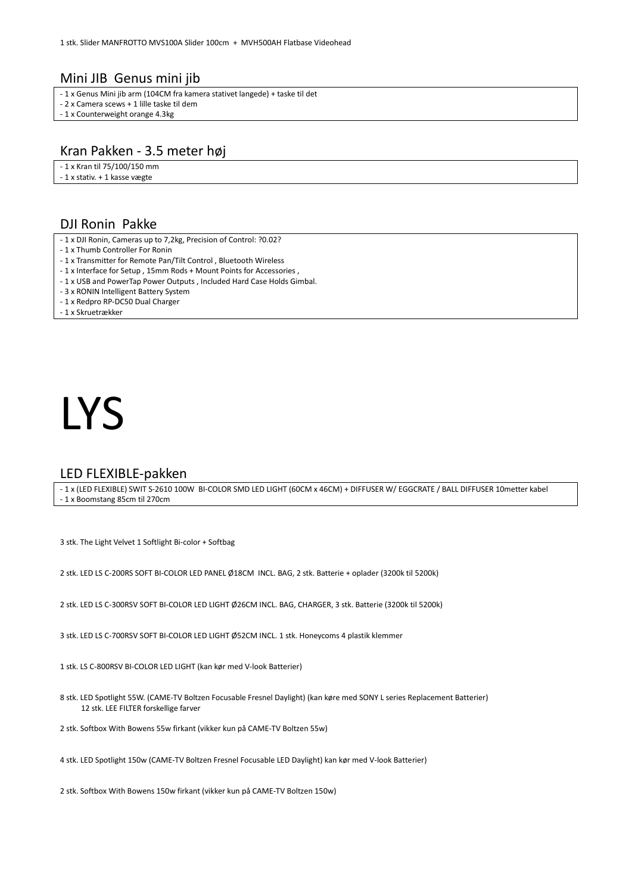#### Mini JIB Genus mini jib

- 1 x Genus Mini jib arm (104CM fra kamera stativet langede) + taske til det
- 2 x Camera scews + 1 lille taske til dem
- 1 x Counterweight orange 4.3kg

#### Kran Pakken - 3.5 meter høj

- 1 x Kran til 75/100/150 mm

- 1 x stativ. + 1 kasse vægte

#### DJI Ronin Pakke

- 1 x DJI Ronin, Cameras up to 7,2kg, Precision of Control: ?0.02?
- 1 x Thumb Controller For Ronin
- 1 x Transmitter for Remote Pan/Tilt Control , Bluetooth Wireless
- 1 x Interface for Setup , 15mm Rods + Mount Points for Accessories ,
- 1 x USB and PowerTap Power Outputs , Included Hard Case Holds Gimbal.
- 3 x RONIN Intelligent Battery System
- 1 x Redpro RP-DC50 Dual Charger
- 1 x Skruetrækker

# LYS

#### LED FLEXIBLE-pakken

- 1 x (LED FLEXIBLE) SWIT S-2610 100W BI-COLOR SMD LED LIGHT (60CM x 46CM) + DIFFUSER W/ EGGCRATE / BALL DIFFUSER 10metter kabel - 1 x Boomstang 85cm til 270cm

3 stk. The Light Velvet 1 Softlight Bi-color + Softbag

2 stk. LED LS C-200RS SOFT BI-COLOR LED PANEL Ø18CM INCL. BAG, 2 stk. Batterie + oplader (3200k til 5200k)

2 stk. LED LS C-300RSV SOFT BI-COLOR LED LIGHT Ø26CM INCL. BAG, CHARGER, 3 stk. Batterie (3200k til 5200k)

3 stk. LED LS C-700RSV SOFT BI-COLOR LED LIGHT Ø52CM INCL. 1 stk. Honeycoms 4 plastik klemmer

1 stk. LS C-800RSV BI-COLOR LED LIGHT (kan kør med V-look Batterier)

- 8 stk. LED Spotlight 55W. (CAME-TV Boltzen Focusable Fresnel Daylight) (kan køre med SONY L series Replacement Batterier) 12 stk. LEE FILTER forskellige farver
- 2 stk. Softbox With Bowens 55w firkant (vikker kun på CAME-TV Boltzen 55w)
- 4 stk. LED Spotlight 150w (CAME-TV Boltzen Fresnel Focusable LED Daylight) kan kør med V-look Batterier)

2 stk. Softbox With Bowens 150w firkant (vikker kun på CAME-TV Boltzen 150w)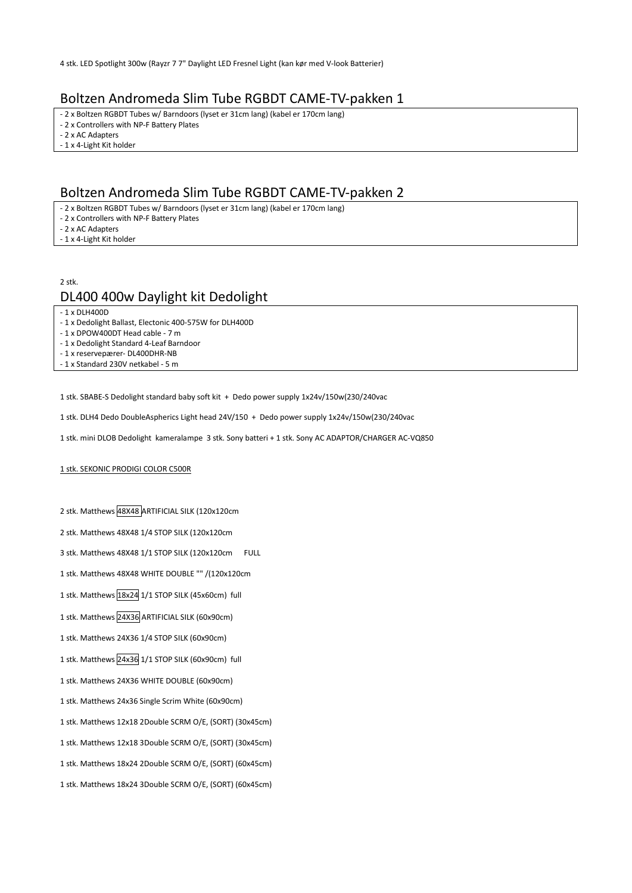#### Boltzen Andromeda Slim Tube RGBDT CAME-TV-pakken 1

- 2 x Boltzen RGBDT Tubes w/ Barndoors (lyset er 31cm lang) (kabel er 170cm lang)

- 2 x Controllers with NP-F Battery Plates

- 2 x AC Adapters

- 1 x 4-Light Kit holder

#### Boltzen Andromeda Slim Tube RGBDT CAME-TV-pakken 2

- 2 x Boltzen RGBDT Tubes w/ Barndoors (lyset er 31cm lang) (kabel er 170cm lang)

- 2 x Controllers with NP-F Battery Plates

- 2 x AC Adapters

- 1 x 4-Light Kit holder

2 stk.

### DL400 400w Daylight kit Dedolight

- 1 x DLH400D

- 1 x Dedolight Ballast, Electonic 400-575W for DLH400D

- 1 x DPOW400DT Head cable - 7 m

- 1 x Dedolight Standard 4-Leaf Barndoor

- 1 x reservepærer- DL400DHR-NB - 1 x Standard 230V netkabel - 5 m

1 stk. SBABE-S Dedolight standard baby soft kit + Dedo power supply 1x24v/150w(230/240vac

1 stk. DLH4 Dedo DoubleAspherics Light head 24V/150 + Dedo power supply 1x24v/150w(230/240vac

1 stk. mini DLOB Dedolight kameralampe 3 stk. Sony batteri + 1 stk. Sony AC ADAPTOR/CHARGER AC-VQ850

#### [1 stk. SEKONIC PRODIGI COLOR C500R](https://www.youtube.com/watch?v=5WJ6zET_a3s)

2 stk. Matthews 48X48 ARTIFICIAL SILK (120x120cm

2 stk. Matthews 48X48 1/4 STOP SILK (120x120cm

3 stk. Matthews 48X48 1/1 STOP SILK (120x120cm FULL

1 stk. Matthews 48X48 WHITE DOUBLE "" /(120x120cm

1 stk. Matthews 18x24 1/1 STOP SILK (45x60cm) full

1 stk. Matthews 24X36 ARTIFICIAL SILK (60x90cm)

1 stk. Matthews 24X36 1/4 STOP SILK (60x90cm)

1 stk. Matthews 24x36 1/1 STOP SILK (60x90cm) full

1 stk. Matthews 24X36 WHITE DOUBLE (60x90cm)

1 stk. Matthews 24x36 Single Scrim White (60x90cm)

1 stk. Matthews 12x18 2Double SCRM O/E, (SORT) (30x45cm)

- 1 stk. Matthews 12x18 3Double SCRM O/E, (SORT) (30x45cm)
- 1 stk. Matthews 18x24 2Double SCRM O/E, (SORT) (60x45cm)
- 1 stk. Matthews 18x24 3Double SCRM O/E, (SORT) (60x45cm)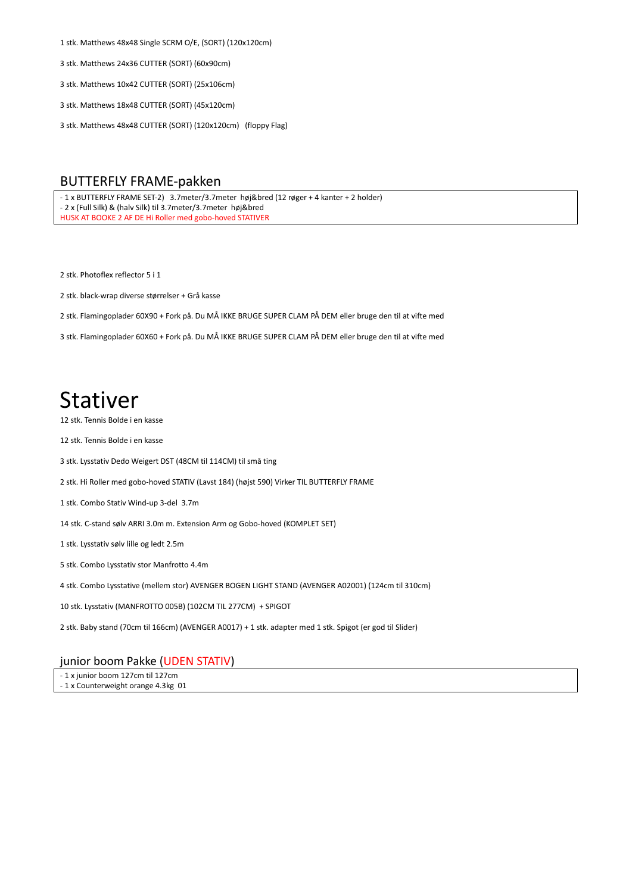- 1 stk. Matthews 48x48 Single SCRM O/E, (SORT) (120x120cm)
- 3 stk. Matthews 24x36 CUTTER (SORT) (60x90cm)
- 3 stk. Matthews 10x42 CUTTER (SORT) (25x106cm)
- 3 stk. Matthews 18x48 CUTTER (SORT) (45x120cm)
- 3 stk. Matthews 48x48 CUTTER (SORT) (120x120cm) (floppy Flag)

#### BUTTERFLY FRAME-pakken

- 1 x BUTTERFLY FRAME SET-2) 3.7meter/3.7meter høj&bred (12 røger + 4 kanter + 2 holder) - 2 x (Full Silk) & (halv Silk) til 3.7meter/3.7meter høj&bred HUSK AT BOOKE 2 AF DE Hi Roller med gobo-hoved STATIVER

2 stk. Photoflex reflector 5 i 1

- 2 stk. black-wrap diverse størrelser + Grå kasse
- 2 stk. Flamingoplader 60X90 + Fork på. Du MÅ IKKE BRUGE SUPER CLAM PÅ DEM eller bruge den til at vifte med
- 3 stk. Flamingoplader 60X60 + Fork på. Du MÅ IKKE BRUGE SUPER CLAM PÅ DEM eller bruge den til at vifte med

## Stativer

12 stk. Tennis Bolde i en kasse

- 12 stk. Tennis Bolde i en kasse
- 3 stk. Lysstativ Dedo Weigert DST (48CM til 114CM) til små ting
- 2 stk. Hi Roller med gobo-hoved STATIV (Lavst 184) (højst 590) Virker TIL BUTTERFLY FRAME
- 1 stk. Combo Stativ Wind-up 3-del 3.7m
- 14 stk. C-stand sølv ARRI 3.0m m. Extension Arm og Gobo-hoved (KOMPLET SET)
- 1 stk. Lysstativ sølv lille og ledt 2.5m
- 5 stk. Combo Lysstativ stor Manfrotto 4.4m
- 4 stk. Combo Lysstative (mellem stor) AVENGER BOGEN LIGHT STAND (AVENGER A02001) (124cm til 310cm)
- 10 stk. Lysstativ (MANFROTTO 005B) (102CM TIL 277CM) + SPIGOT
- 2 stk. Baby stand (70cm til 166cm) (AVENGER A0017) + 1 stk. adapter med 1 stk. Spigot (er god til Slider)

#### junior boom Pakke (UDEN STATIV)

- 1 x junior boom 127cm til 127cm - 1 x Counterweight orange 4.3kg 01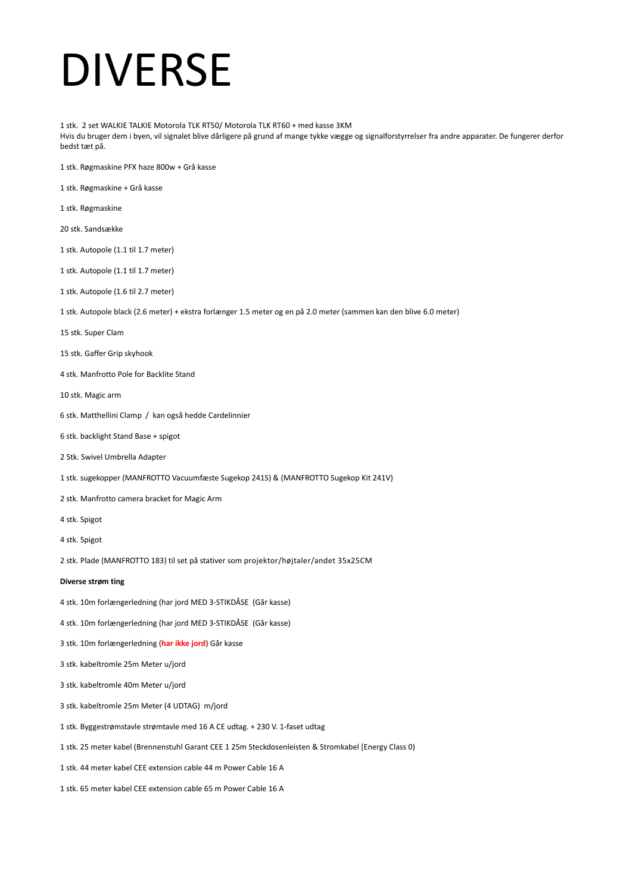# DIVERSE

1 stk. 2 set WALKIE TALKIE Motorola TLK RT50/ Motorola TLK RT60 + med kasse 3KM Hvis du bruger dem i byen, vil signalet blive dårligere på grund af mange tykke vægge og signalforstyrrelser fra andre apparater. De fungerer derfor bedst tæt på.

- 1 stk. Røgmaskine PFX haze 800w + Grå kasse
- 1 stk. Røgmaskine + Grå kasse
- 1 stk. Røgmaskine
- 20 stk. Sandsække
- 1 stk. Autopole (1.1 til 1.7 meter)
- 1 stk. Autopole (1.1 til 1.7 meter)
- 1 stk. Autopole (1.6 til 2.7 meter)
- 1 stk. Autopole black (2.6 meter) + ekstra forlænger 1.5 meter og en på 2.0 meter (sammen kan den blive 6.0 meter)
- 15 stk. Super Clam
- 15 stk. Gaffer Grip skyhook
- 4 stk. Manfrotto Pole for Backlite Stand
- 10 stk. Magic arm
- 6 stk. Matthellini Clamp / kan også hedde Cardelinnier
- 6 stk. backlight Stand Base + spigot
- 2 Stk. Swivel Umbrella Adapter
- 1 stk. sugekopper (MANFROTTO Vacuumfæste Sugekop 241S) & (MANFROTTO Sugekop Kit 241V)
- 2 stk. Manfrotto camera bracket for Magic Arm
- 4 stk. Spigot
- 4 stk. Spigot
- 2 stk. Plade (MANFROTTO 183) til set på stativer som projektor/højtaler/andet 35x25CM

#### **Diverse strøm ting**

- 4 stk. 10m forlængerledning (har jord MED 3-STIKDÅSE (Går kasse)
- 4 stk. 10m forlængerledning (har jord MED 3-STIKDÅSE (Går kasse)
- 3 stk. 10m forlængerledning (**har ikke jord**) Går kasse
- 3 stk. kabeltromle 25m Meter u/jord
- 3 stk. kabeltromle 40m Meter u/jord
- 3 stk. kabeltromle 25m Meter (4 UDTAG) m/jord
- 1 stk. Byggestrømstavle strømtavle med 16 A CE udtag. + 230 V. 1-faset udtag
- 1 stk. 25 meter kabel (Brennenstuhl Garant CEE 1 25m Steckdosenleisten & Stromkabel [Energy Class 0)
- 1 stk. 44 meter kabel CEE extension cable 44 m Power Cable 16 A
- 1 stk. 65 meter kabel CEE extension cable 65 m Power Cable 16 A